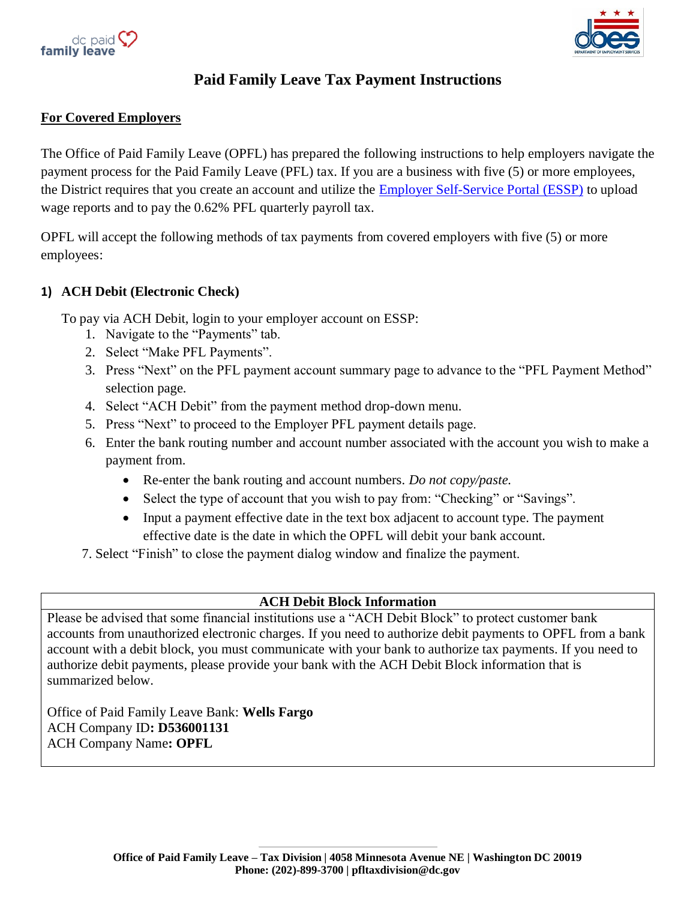



# **Paid Family Leave Tax Payment Instructions**

## **For Covered Employers**

The Office of Paid Family Leave (OPFL) has prepared the following instructions to help employers navigate the payment process for the Paid Family Leave (PFL) tax. If you are a business with five (5) or more employees, the District requires that you create an account and utilize the [Employer Self-Service Portal \(ESSP\)](https://essp.does.dc.gov/) to upload wage reports and to pay the 0.62% PFL quarterly payroll tax.

OPFL will accept the following methods of tax payments from covered employers with five (5) or more employees:

### **1) ACH Debit (Electronic Check)**

To pay via ACH Debit, login to your employer account on ESSP:

- 1. Navigate to the "Payments" tab.
- 2. Select "Make PFL Payments".
- 3. Press "Next" on the PFL payment account summary page to advance to the "PFL Payment Method" selection page.
- 4. Select "ACH Debit" from the payment method drop-down menu.
- 5. Press "Next" to proceed to the Employer PFL payment details page.
- 6. Enter the bank routing number and account number associated with the account you wish to make a payment from.
	- Re-enter the bank routing and account numbers. *Do not copy/paste.*
	- Select the type of account that you wish to pay from: "Checking" or "Savings".
	- Input a payment effective date in the text box adjacent to account type. The payment effective date is the date in which the OPFL will debit your bank account.
- 7. Select "Finish" to close the payment dialog window and finalize the payment.

# **ACH Debit Block Information**

Please be advised that some financial institutions use a "ACH Debit Block" to protect customer bank accounts from unauthorized electronic charges. If you need to authorize debit payments to OPFL from a bank account with a debit block, you must communicate with your bank to authorize tax payments. If you need to authorize debit payments, please provide your bank with the ACH Debit Block information that is summarized below.

Office of Paid Family Leave Bank: **Wells Fargo** ACH Company ID**: D536001131** ACH Company Name**: OPFL**